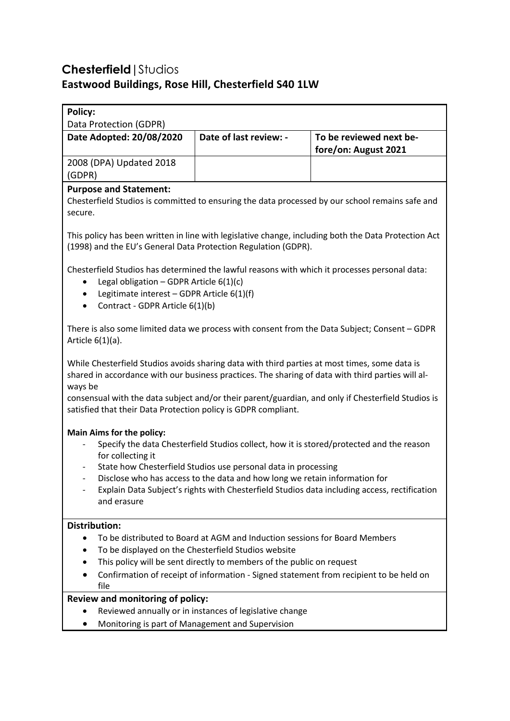# **Chesterfield|**Studios **Eastwood Buildings, Rose Hill, Chesterfield S40 1LW**

| <b>Policy:</b><br>Data Protection (GDPR)                                                                                                                                                                                                                                                                                                                                                                         |                        |                         |
|------------------------------------------------------------------------------------------------------------------------------------------------------------------------------------------------------------------------------------------------------------------------------------------------------------------------------------------------------------------------------------------------------------------|------------------------|-------------------------|
| Date Adopted: 20/08/2020                                                                                                                                                                                                                                                                                                                                                                                         | Date of last review: - | To be reviewed next be- |
|                                                                                                                                                                                                                                                                                                                                                                                                                  |                        | fore/on: August 2021    |
| 2008 (DPA) Updated 2018                                                                                                                                                                                                                                                                                                                                                                                          |                        |                         |
| (GDPR)                                                                                                                                                                                                                                                                                                                                                                                                           |                        |                         |
| <b>Purpose and Statement:</b><br>Chesterfield Studios is committed to ensuring the data processed by our school remains safe and<br>secure.                                                                                                                                                                                                                                                                      |                        |                         |
| This policy has been written in line with legislative change, including both the Data Protection Act<br>(1998) and the EU's General Data Protection Regulation (GDPR).                                                                                                                                                                                                                                           |                        |                         |
| Chesterfield Studios has determined the lawful reasons with which it processes personal data:<br>Legal obligation - GDPR Article $6(1)(c)$<br>Legitimate interest - GDPR Article 6(1)(f)<br>٠<br>Contract - GDPR Article 6(1)(b)<br>$\bullet$                                                                                                                                                                    |                        |                         |
| There is also some limited data we process with consent from the Data Subject; Consent - GDPR<br>Article $6(1)(a)$ .                                                                                                                                                                                                                                                                                             |                        |                         |
| While Chesterfield Studios avoids sharing data with third parties at most times, some data is<br>shared in accordance with our business practices. The sharing of data with third parties will al-<br>ways be<br>consensual with the data subject and/or their parent/guardian, and only if Chesterfield Studios is<br>satisfied that their Data Protection policy is GDPR compliant.                            |                        |                         |
| <b>Main Aims for the policy:</b><br>Specify the data Chesterfield Studios collect, how it is stored/protected and the reason<br>for collecting it<br>State how Chesterfield Studios use personal data in processing<br>Disclose who has access to the data and how long we retain information for<br>Explain Data Subject's rights with Chesterfield Studios data including access, rectification<br>and erasure |                        |                         |
| <b>Distribution:</b>                                                                                                                                                                                                                                                                                                                                                                                             |                        |                         |
| To be distributed to Board at AGM and Induction sessions for Board Members                                                                                                                                                                                                                                                                                                                                       |                        |                         |
| To be displayed on the Chesterfield Studios website                                                                                                                                                                                                                                                                                                                                                              |                        |                         |
| This policy will be sent directly to members of the public on request<br>Confirmation of receipt of information - Signed statement from recipient to be held on                                                                                                                                                                                                                                                  |                        |                         |
| file                                                                                                                                                                                                                                                                                                                                                                                                             |                        |                         |
| Review and monitoring of policy:                                                                                                                                                                                                                                                                                                                                                                                 |                        |                         |
| Reviewed annually or in instances of legislative change                                                                                                                                                                                                                                                                                                                                                          |                        |                         |
| Monitoring is part of Management and Supervision                                                                                                                                                                                                                                                                                                                                                                 |                        |                         |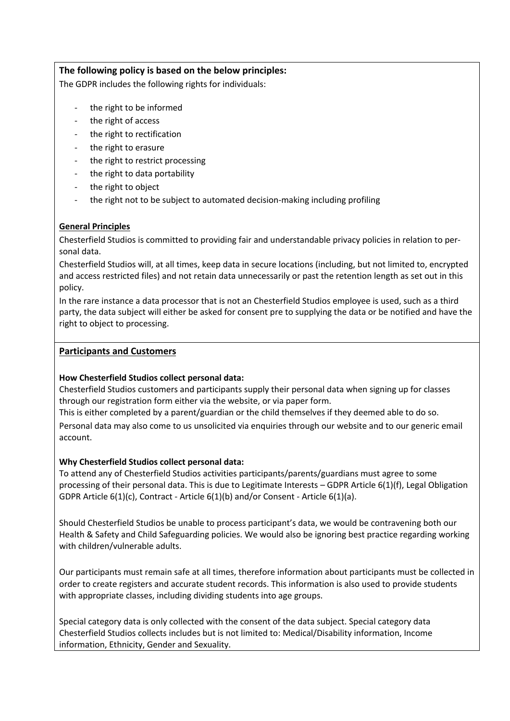## **The following policy is based on the below principles:**

The GDPR includes the following rights for individuals:

- the right to be informed
- the right of access
- the right to rectification
- the right to erasure
- the right to restrict processing
- the right to data portability
- the right to object
- the right not to be subject to automated decision-making including profiling

## **General Principles**

Chesterfield Studios is committed to providing fair and understandable privacy policies in relation to personal data.

Chesterfield Studios will, at all times, keep data in secure locations (including, but not limited to, encrypted and access restricted files) and not retain data unnecessarily or past the retention length as set out in this policy.

In the rare instance a data processor that is not an Chesterfield Studios employee is used, such as a third party, the data subject will either be asked for consent pre to supplying the data or be notified and have the right to object to processing.

## **Participants and Customers**

## **How Chesterfield Studios collect personal data:**

Chesterfield Studios customers and participants supply their personal data when signing up for classes through our registration form either via the website, or via paper form.

This is either completed by a parent/guardian or the child themselves if they deemed able to do so.

Personal data may also come to us unsolicited via enquiries through our website and to our generic email account.

## **Why Chesterfield Studios collect personal data:**

To attend any of Chesterfield Studios activities participants/parents/guardians must agree to some processing of their personal data. This is due to Legitimate Interests – GDPR Article 6(1)(f), Legal Obligation GDPR Article 6(1)(c), Contract - Article 6(1)(b) and/or Consent - Article 6(1)(a).

Should Chesterfield Studios be unable to process participant's data, we would be contravening both our Health & Safety and Child Safeguarding policies. We would also be ignoring best practice regarding working with children/vulnerable adults.

Our participants must remain safe at all times, therefore information about participants must be collected in order to create registers and accurate student records. This information is also used to provide students with appropriate classes, including dividing students into age groups.

Special category data is only collected with the consent of the data subject. Special category data Chesterfield Studios collects includes but is not limited to: Medical/Disability information, Income information, Ethnicity, Gender and Sexuality.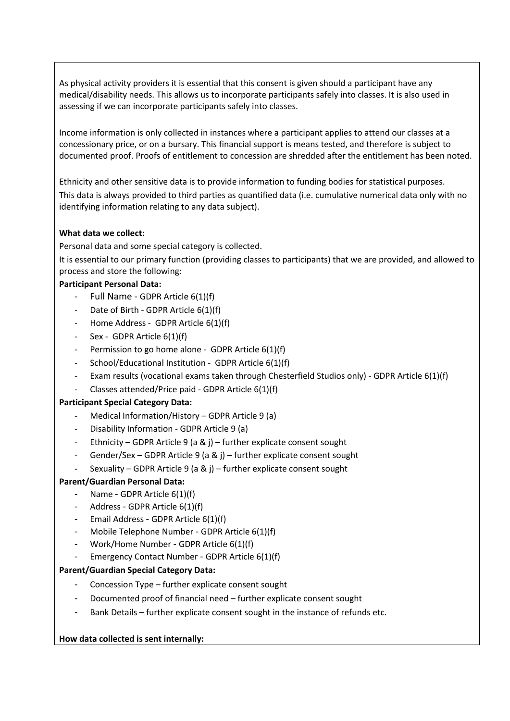As physical activity providers it is essential that this consent is given should a participant have any medical/disability needs. This allows us to incorporate participants safely into classes. It is also used in assessing if we can incorporate participants safely into classes.

Income information is only collected in instances where a participant applies to attend our classes at a concessionary price, or on a bursary. This financial support is means tested, and therefore is subject to documented proof. Proofs of entitlement to concession are shredded after the entitlement has been noted.

Ethnicity and other sensitive data is to provide information to funding bodies for statistical purposes. This data is always provided to third parties as quantified data (i.e. cumulative numerical data only with no identifying information relating to any data subject).

## **What data we collect:**

Personal data and some special category is collected.

It is essential to our primary function (providing classes to participants) that we are provided, and allowed to process and store the following:

## **Participant Personal Data:**

- Full Name GDPR Article 6(1)(f)
- Date of Birth GDPR Article 6(1)(f)
- Home Address GDPR Article 6(1)(f)
- Sex GDPR Article 6(1)(f)
- Permission to go home alone GDPR Article 6(1)(f)
- School/Educational Institution GDPR Article 6(1)(f)
- Exam results (vocational exams taken through Chesterfield Studios only) GDPR Article 6(1)(f)
- Classes attended/Price paid GDPR Article 6(1)(f)

#### **Participant Special Category Data:**

- Medical Information/History GDPR Article 9 (a)
- Disability Information GDPR Article 9 (a)
- Ethnicity GDPR Article 9 (a & j) further explicate consent sought
- Gender/Sex GDPR Article 9 (a & j) further explicate consent sought
- Sexuality GDPR Article 9 (a & j) further explicate consent sought

#### **Parent/Guardian Personal Data:**

- Name GDPR Article 6(1)(f)
- Address GDPR Article 6(1)(f)
- Email Address GDPR Article 6(1)(f)
- Mobile Telephone Number GDPR Article 6(1)(f)
- Work/Home Number GDPR Article 6(1)(f)
- Emergency Contact Number GDPR Article 6(1)(f)

#### **Parent/Guardian Special Category Data:**

- Concession Type further explicate consent sought
- Documented proof of financial need further explicate consent sought
- Bank Details further explicate consent sought in the instance of refunds etc.

## **How data collected is sent internally:**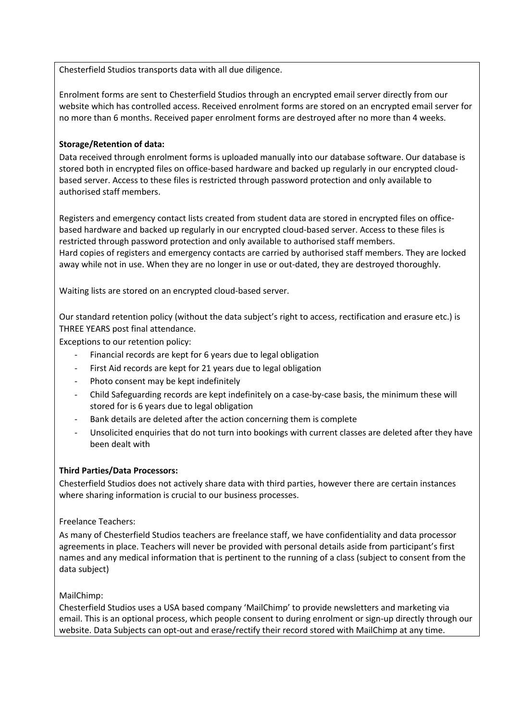Chesterfield Studios transports data with all due diligence.

Enrolment forms are sent to Chesterfield Studios through an encrypted email server directly from our website which has controlled access. Received enrolment forms are stored on an encrypted email server for no more than 6 months. Received paper enrolment forms are destroyed after no more than 4 weeks.

## **Storage/Retention of data:**

Data received through enrolment forms is uploaded manually into our database software. Our database is stored both in encrypted files on office-based hardware and backed up regularly in our encrypted cloudbased server. Access to these files is restricted through password protection and only available to authorised staff members.

Registers and emergency contact lists created from student data are stored in encrypted files on officebased hardware and backed up regularly in our encrypted cloud-based server. Access to these files is restricted through password protection and only available to authorised staff members. Hard copies of registers and emergency contacts are carried by authorised staff members. They are locked away while not in use. When they are no longer in use or out-dated, they are destroyed thoroughly.

Waiting lists are stored on an encrypted cloud-based server.

Our standard retention policy (without the data subject's right to access, rectification and erasure etc.) is THREE YEARS post final attendance.

Exceptions to our retention policy:

- Financial records are kept for 6 years due to legal obligation
- First Aid records are kept for 21 years due to legal obligation
- Photo consent may be kept indefinitely
- Child Safeguarding records are kept indefinitely on a case-by-case basis, the minimum these will stored for is 6 years due to legal obligation
- Bank details are deleted after the action concerning them is complete
- Unsolicited enquiries that do not turn into bookings with current classes are deleted after they have been dealt with

## **Third Parties/Data Processors:**

Chesterfield Studios does not actively share data with third parties, however there are certain instances where sharing information is crucial to our business processes.

## Freelance Teachers:

As many of Chesterfield Studios teachers are freelance staff, we have confidentiality and data processor agreements in place. Teachers will never be provided with personal details aside from participant's first names and any medical information that is pertinent to the running of a class (subject to consent from the data subject)

## MailChimp:

Chesterfield Studios uses a USA based company 'MailChimp' to provide newsletters and marketing via email. This is an optional process, which people consent to during enrolment or sign-up directly through our website. Data Subjects can opt-out and erase/rectify their record stored with MailChimp at any time.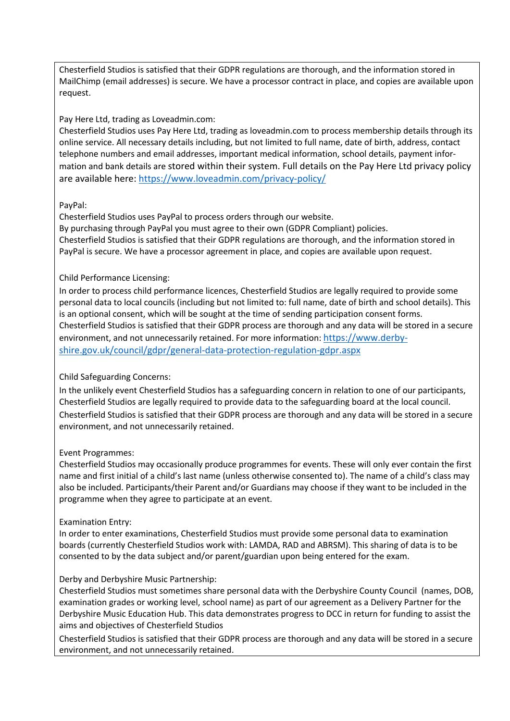Chesterfield Studios is satisfied that their GDPR regulations are thorough, and the information stored in MailChimp (email addresses) is secure. We have a processor contract in place, and copies are available upon request.

Pay Here Ltd, trading as Loveadmin.com:

Chesterfield Studios uses Pay Here Ltd, trading as loveadmin.com to process membership details through its online service. All necessary details including, but not limited to full name, date of birth, address, contact telephone numbers and email addresses, important medical information, school details, payment information and bank details are stored within their system. Full details on the Pay Here Ltd privacy policy are available here: https://www.loveadmin.com/privacy-policy/

## PayPal:

Chesterfield Studios uses PayPal to process orders through our website. By purchasing through PayPal you must agree to their own (GDPR Compliant) policies. Chesterfield Studios is satisfied that their GDPR regulations are thorough, and the information stored in PayPal is secure. We have a processor agreement in place, and copies are available upon request.

## Child Performance Licensing:

In order to process child performance licences, Chesterfield Studios are legally required to provide some personal data to local councils (including but not limited to: full name, date of birth and school details). This is an optional consent, which will be sought at the time of sending participation consent forms. Chesterfield Studios is satisfied that their GDPR process are thorough and any data will be stored in a secure environment, and not unnecessarily retained. For more information: https://www.derbyshire.gov.uk/council/gdpr/general-data-protection-regulation-gdpr.aspx

## Child Safeguarding Concerns:

In the unlikely event Chesterfield Studios has a safeguarding concern in relation to one of our participants, Chesterfield Studios are legally required to provide data to the safeguarding board at the local council. Chesterfield Studios is satisfied that their GDPR process are thorough and any data will be stored in a secure environment, and not unnecessarily retained.

## Event Programmes:

Chesterfield Studios may occasionally produce programmes for events. These will only ever contain the first name and first initial of a child's last name (unless otherwise consented to). The name of a child's class may also be included. Participants/their Parent and/or Guardians may choose if they want to be included in the programme when they agree to participate at an event.

## Examination Entry:

In order to enter examinations, Chesterfield Studios must provide some personal data to examination boards (currently Chesterfield Studios work with: LAMDA, RAD and ABRSM). This sharing of data is to be consented to by the data subject and/or parent/guardian upon being entered for the exam.

## Derby and Derbyshire Music Partnership:

Chesterfield Studios must sometimes share personal data with the Derbyshire County Council (names, DOB, examination grades or working level, school name) as part of our agreement as a Delivery Partner for the Derbyshire Music Education Hub. This data demonstrates progress to DCC in return for funding to assist the aims and objectives of Chesterfield Studios

Chesterfield Studios is satisfied that their GDPR process are thorough and any data will be stored in a secure environment, and not unnecessarily retained.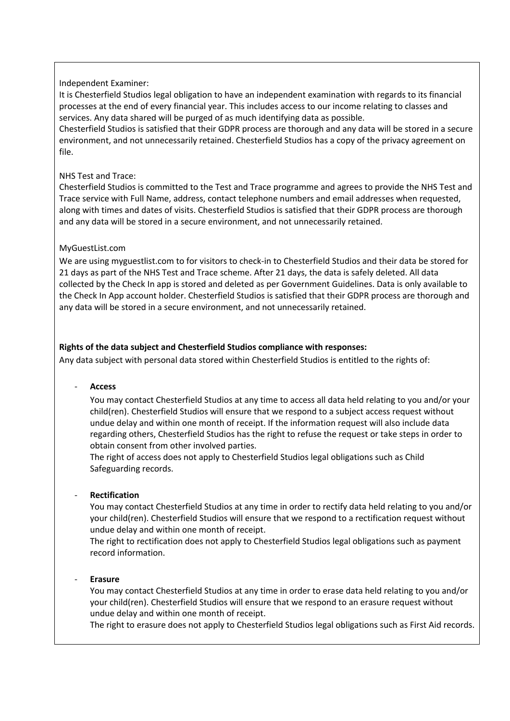## Independent Examiner:

It is Chesterfield Studios legal obligation to have an independent examination with regards to its financial processes at the end of every financial year. This includes access to our income relating to classes and services. Any data shared will be purged of as much identifying data as possible.

Chesterfield Studios is satisfied that their GDPR process are thorough and any data will be stored in a secure environment, and not unnecessarily retained. Chesterfield Studios has a copy of the privacy agreement on file.

#### NHS Test and Trace:

Chesterfield Studios is committed to the Test and Trace programme and agrees to provide the NHS Test and Trace service with Full Name, address, contact telephone numbers and email addresses when requested, along with times and dates of visits. Chesterfield Studios is satisfied that their GDPR process are thorough and any data will be stored in a secure environment, and not unnecessarily retained.

## MyGuestList.com

We are using myguestlist.com to for visitors to check-in to Chesterfield Studios and their data be stored for 21 days as part of the NHS Test and Trace scheme. After 21 days, the data is safely deleted. All data collected by the Check In app is stored and deleted as per Government Guidelines. Data is only available to the Check In App account holder. Chesterfield Studios is satisfied that their GDPR process are thorough and any data will be stored in a secure environment, and not unnecessarily retained.

#### **Rights of the data subject and Chesterfield Studios compliance with responses:**

Any data subject with personal data stored within Chesterfield Studios is entitled to the rights of:

- **Access** 

You may contact Chesterfield Studios at any time to access all data held relating to you and/or your child(ren). Chesterfield Studios will ensure that we respond to a subject access request without undue delay and within one month of receipt. If the information request will also include data regarding others, Chesterfield Studios has the right to refuse the request or take steps in order to obtain consent from other involved parties.

The right of access does not apply to Chesterfield Studios legal obligations such as Child Safeguarding records.

## - **Rectification**

You may contact Chesterfield Studios at any time in order to rectify data held relating to you and/or your child(ren). Chesterfield Studios will ensure that we respond to a rectification request without undue delay and within one month of receipt.

The right to rectification does not apply to Chesterfield Studios legal obligations such as payment record information.

- **Erasure**

You may contact Chesterfield Studios at any time in order to erase data held relating to you and/or your child(ren). Chesterfield Studios will ensure that we respond to an erasure request without undue delay and within one month of receipt.

The right to erasure does not apply to Chesterfield Studios legal obligations such as First Aid records.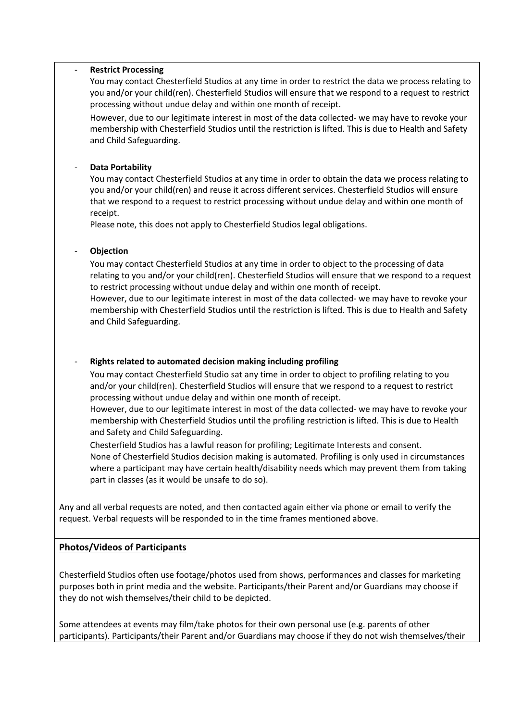#### - **Restrict Processing**

You may contact Chesterfield Studios at any time in order to restrict the data we process relating to you and/or your child(ren). Chesterfield Studios will ensure that we respond to a request to restrict processing without undue delay and within one month of receipt.

However, due to our legitimate interest in most of the data collected- we may have to revoke your membership with Chesterfield Studios until the restriction is lifted. This is due to Health and Safety and Child Safeguarding.

## - **Data Portability**

You may contact Chesterfield Studios at any time in order to obtain the data we process relating to you and/or your child(ren) and reuse it across different services. Chesterfield Studios will ensure that we respond to a request to restrict processing without undue delay and within one month of receipt.

Please note, this does not apply to Chesterfield Studios legal obligations.

#### - **Objection**

You may contact Chesterfield Studios at any time in order to object to the processing of data relating to you and/or your child(ren). Chesterfield Studios will ensure that we respond to a request to restrict processing without undue delay and within one month of receipt.

However, due to our legitimate interest in most of the data collected- we may have to revoke your membership with Chesterfield Studios until the restriction is lifted. This is due to Health and Safety and Child Safeguarding.

## - **Rights related to automated decision making including profiling**

You may contact Chesterfield Studio sat any time in order to object to profiling relating to you and/or your child(ren). Chesterfield Studios will ensure that we respond to a request to restrict processing without undue delay and within one month of receipt.

However, due to our legitimate interest in most of the data collected- we may have to revoke your membership with Chesterfield Studios until the profiling restriction is lifted. This is due to Health and Safety and Child Safeguarding.

Chesterfield Studios has a lawful reason for profiling; Legitimate Interests and consent. None of Chesterfield Studios decision making is automated. Profiling is only used in circumstances where a participant may have certain health/disability needs which may prevent them from taking part in classes (as it would be unsafe to do so).

Any and all verbal requests are noted, and then contacted again either via phone or email to verify the request. Verbal requests will be responded to in the time frames mentioned above.

## **Photos/Videos of Participants**

Chesterfield Studios often use footage/photos used from shows, performances and classes for marketing purposes both in print media and the website. Participants/their Parent and/or Guardians may choose if they do not wish themselves/their child to be depicted.

Some attendees at events may film/take photos for their own personal use (e.g. parents of other participants). Participants/their Parent and/or Guardians may choose if they do not wish themselves/their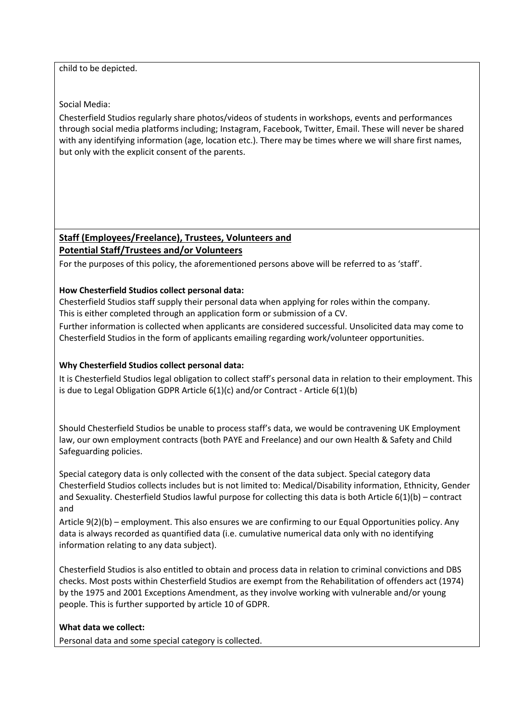child to be depicted.

Social Media:

Chesterfield Studios regularly share photos/videos of students in workshops, events and performances through social media platforms including; Instagram, Facebook, Twitter, Email. These will never be shared with any identifying information (age, location etc.). There may be times where we will share first names, but only with the explicit consent of the parents.

## **Staff (Employees/Freelance), Trustees, Volunteers and Potential Staff/Trustees and/or Volunteers**

For the purposes of this policy, the aforementioned persons above will be referred to as 'staff'.

## **How Chesterfield Studios collect personal data:**

Chesterfield Studios staff supply their personal data when applying for roles within the company. This is either completed through an application form or submission of a CV.

Further information is collected when applicants are considered successful. Unsolicited data may come to Chesterfield Studios in the form of applicants emailing regarding work/volunteer opportunities.

## **Why Chesterfield Studios collect personal data:**

It is Chesterfield Studios legal obligation to collect staff's personal data in relation to their employment. This is due to Legal Obligation GDPR Article 6(1)(c) and/or Contract - Article 6(1)(b)

Should Chesterfield Studios be unable to process staff's data, we would be contravening UK Employment law, our own employment contracts (both PAYE and Freelance) and our own Health & Safety and Child Safeguarding policies.

Special category data is only collected with the consent of the data subject. Special category data Chesterfield Studios collects includes but is not limited to: Medical/Disability information, Ethnicity, Gender and Sexuality. Chesterfield Studios lawful purpose for collecting this data is both Article 6(1)(b) – contract and

Article 9(2)(b) – employment. This also ensures we are confirming to our Equal Opportunities policy. Any data is always recorded as quantified data (i.e. cumulative numerical data only with no identifying information relating to any data subject).

Chesterfield Studios is also entitled to obtain and process data in relation to criminal convictions and DBS checks. Most posts within Chesterfield Studios are exempt from the Rehabilitation of offenders act (1974) by the 1975 and 2001 Exceptions Amendment, as they involve working with vulnerable and/or young people. This is further supported by article 10 of GDPR.

## **What data we collect:**

Personal data and some special category is collected.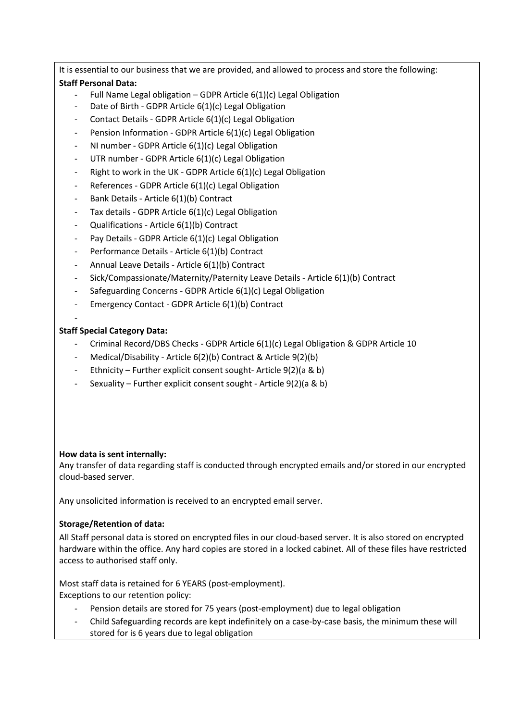It is essential to our business that we are provided, and allowed to process and store the following: **Staff Personal Data:**

- Full Name Legal obligation GDPR Article  $6(1)(c)$  Legal Obligation
- Date of Birth GDPR Article 6(1)(c) Legal Obligation
- Contact Details GDPR Article 6(1)(c) Legal Obligation
- Pension Information GDPR Article 6(1)(c) Legal Obligation
- NI number GDPR Article 6(1)(c) Legal Obligation
- UTR number GDPR Article 6(1)(c) Legal Obligation
- Right to work in the UK GDPR Article 6(1)(c) Legal Obligation
- References GDPR Article 6(1)(c) Legal Obligation
- Bank Details Article 6(1)(b) Contract
- Tax details GDPR Article  $6(1)(c)$  Legal Obligation
- Qualifications Article 6(1)(b) Contract
- Pay Details GDPR Article 6(1)(c) Legal Obligation
- Performance Details Article 6(1)(b) Contract
- Annual Leave Details Article 6(1)(b) Contract
- Sick/Compassionate/Maternity/Paternity Leave Details Article 6(1)(b) Contract
- Safeguarding Concerns GDPR Article 6(1)(c) Legal Obligation
- Emergency Contact GDPR Article 6(1)(b) Contract
- -

#### **Staff Special Category Data:**

- Criminal Record/DBS Checks GDPR Article 6(1)(c) Legal Obligation & GDPR Article 10
- Medical/Disability Article 6(2)(b) Contract & Article 9(2)(b)
- Ethnicity Further explicit consent sought- Article 9(2)(a & b)
- Sexuality Further explicit consent sought Article  $9(2)(a \& b)$

## **How data is sent internally:**

Any transfer of data regarding staff is conducted through encrypted emails and/or stored in our encrypted cloud-based server.

Any unsolicited information is received to an encrypted email server.

## **Storage/Retention of data:**

All Staff personal data is stored on encrypted files in our cloud-based server. It is also stored on encrypted hardware within the office. Any hard copies are stored in a locked cabinet. All of these files have restricted access to authorised staff only.

Most staff data is retained for 6 YEARS (post-employment).

Exceptions to our retention policy:

- Pension details are stored for 75 years (post-employment) due to legal obligation
- Child Safeguarding records are kept indefinitely on a case-by-case basis, the minimum these will stored for is 6 years due to legal obligation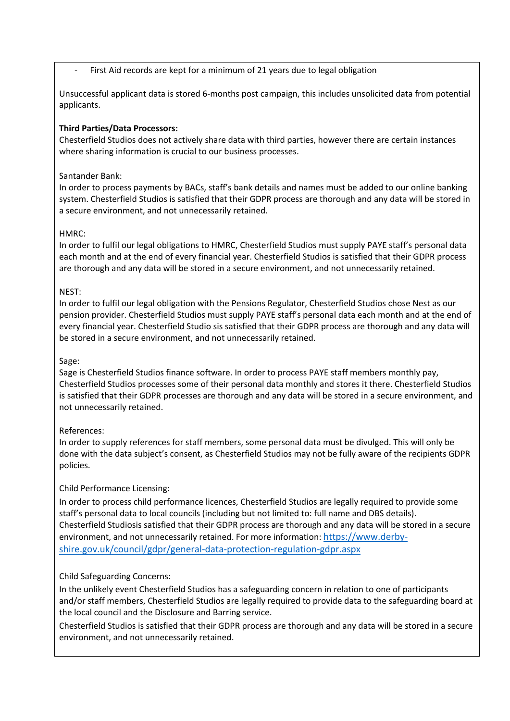## First Aid records are kept for a minimum of 21 years due to legal obligation

Unsuccessful applicant data is stored 6-months post campaign, this includes unsolicited data from potential applicants.

## **Third Parties/Data Processors:**

Chesterfield Studios does not actively share data with third parties, however there are certain instances where sharing information is crucial to our business processes.

## Santander Bank:

In order to process payments by BACs, staff's bank details and names must be added to our online banking system. Chesterfield Studios is satisfied that their GDPR process are thorough and any data will be stored in a secure environment, and not unnecessarily retained.

## HMRC:

In order to fulfil our legal obligations to HMRC, Chesterfield Studios must supply PAYE staff's personal data each month and at the end of every financial year. Chesterfield Studios is satisfied that their GDPR process are thorough and any data will be stored in a secure environment, and not unnecessarily retained.

## NEST:

In order to fulfil our legal obligation with the Pensions Regulator, Chesterfield Studios chose Nest as our pension provider. Chesterfield Studios must supply PAYE staff's personal data each month and at the end of every financial year. Chesterfield Studio sis satisfied that their GDPR process are thorough and any data will be stored in a secure environment, and not unnecessarily retained.

## Sage:

Sage is Chesterfield Studios finance software. In order to process PAYE staff members monthly pay, Chesterfield Studios processes some of their personal data monthly and stores it there. Chesterfield Studios is satisfied that their GDPR processes are thorough and any data will be stored in a secure environment, and not unnecessarily retained.

## References:

In order to supply references for staff members, some personal data must be divulged. This will only be done with the data subject's consent, as Chesterfield Studios may not be fully aware of the recipients GDPR policies.

## Child Performance Licensing:

In order to process child performance licences, Chesterfield Studios are legally required to provide some staff's personal data to local councils (including but not limited to: full name and DBS details). Chesterfield Studiosis satisfied that their GDPR process are thorough and any data will be stored in a secure environment, and not unnecessarily retained. For more information: https://www.derbyshire.gov.uk/council/gdpr/general-data-protection-regulation-gdpr.aspx

## Child Safeguarding Concerns:

In the unlikely event Chesterfield Studios has a safeguarding concern in relation to one of participants and/or staff members, Chesterfield Studios are legally required to provide data to the safeguarding board at the local council and the Disclosure and Barring service.

Chesterfield Studios is satisfied that their GDPR process are thorough and any data will be stored in a secure environment, and not unnecessarily retained.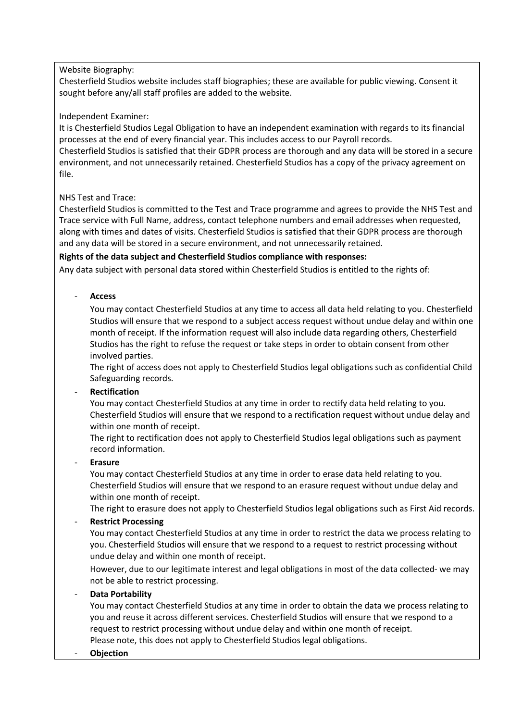## Website Biography:

Chesterfield Studios website includes staff biographies; these are available for public viewing. Consent it sought before any/all staff profiles are added to the website.

#### Independent Examiner:

It is Chesterfield Studios Legal Obligation to have an independent examination with regards to its financial processes at the end of every financial year. This includes access to our Payroll records. Chesterfield Studios is satisfied that their GDPR process are thorough and any data will be stored in a secure environment, and not unnecessarily retained. Chesterfield Studios has a copy of the privacy agreement on file.

## NHS Test and Trace:

Chesterfield Studios is committed to the Test and Trace programme and agrees to provide the NHS Test and Trace service with Full Name, address, contact telephone numbers and email addresses when requested, along with times and dates of visits. Chesterfield Studios is satisfied that their GDPR process are thorough and any data will be stored in a secure environment, and not unnecessarily retained.

## **Rights of the data subject and Chesterfield Studios compliance with responses:**

Any data subject with personal data stored within Chesterfield Studios is entitled to the rights of:

#### - **Access**

You may contact Chesterfield Studios at any time to access all data held relating to you. Chesterfield Studios will ensure that we respond to a subject access request without undue delay and within one month of receipt. If the information request will also include data regarding others, Chesterfield Studios has the right to refuse the request or take steps in order to obtain consent from other involved parties.

The right of access does not apply to Chesterfield Studios legal obligations such as confidential Child Safeguarding records.

## - **Rectification**

You may contact Chesterfield Studios at any time in order to rectify data held relating to you. Chesterfield Studios will ensure that we respond to a rectification request without undue delay and within one month of receipt.

The right to rectification does not apply to Chesterfield Studios legal obligations such as payment record information.

#### - **Erasure**

You may contact Chesterfield Studios at any time in order to erase data held relating to you. Chesterfield Studios will ensure that we respond to an erasure request without undue delay and within one month of receipt.

The right to erasure does not apply to Chesterfield Studios legal obligations such as First Aid records.

## - **Restrict Processing**

You may contact Chesterfield Studios at any time in order to restrict the data we process relating to you. Chesterfield Studios will ensure that we respond to a request to restrict processing without undue delay and within one month of receipt.

However, due to our legitimate interest and legal obligations in most of the data collected- we may not be able to restrict processing.

#### - **Data Portability**

You may contact Chesterfield Studios at any time in order to obtain the data we process relating to you and reuse it across different services. Chesterfield Studios will ensure that we respond to a request to restrict processing without undue delay and within one month of receipt. Please note, this does not apply to Chesterfield Studios legal obligations.

#### - **Objection**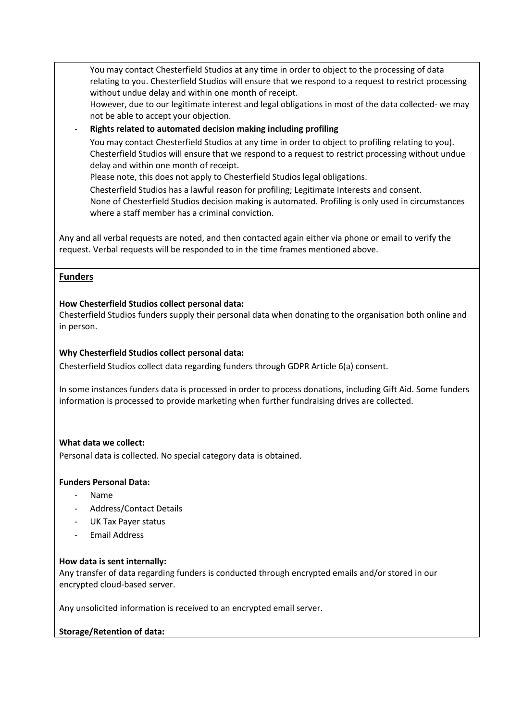You may contact Chesterfield Studios at any time in order to object to the processing of data relating to you. Chesterfield Studios will ensure that we respond to a request to restrict processing without undue delay and within one month of receipt. However, due to our legitimate interest and legal obligations in most of the data collected- we may

not be able to accept your objection.

- **Rights related to automated decision making including profiling**

You may contact Chesterfield Studios at any time in order to object to profiling relating to you). Chesterfield Studios will ensure that we respond to a request to restrict processing without undue delay and within one month of receipt.

Please note, this does not apply to Chesterfield Studios legal obligations.

Chesterfield Studios has a lawful reason for profiling; Legitimate Interests and consent. None of Chesterfield Studios decision making is automated. Profiling is only used in circumstances where a staff member has a criminal conviction.

Any and all verbal requests are noted, and then contacted again either via phone or email to verify the request. Verbal requests will be responded to in the time frames mentioned above.

## **Funders**

#### **How Chesterfield Studios collect personal data:**

Chesterfield Studios funders supply their personal data when donating to the organisation both online and in person.

#### **Why Chesterfield Studios collect personal data:**

Chesterfield Studios collect data regarding funders through GDPR Article 6(a) consent.

In some instances funders data is processed in order to process donations, including Gift Aid. Some funders information is processed to provide marketing when further fundraising drives are collected.

#### **What data we collect:**

Personal data is collected. No special category data is obtained.

#### **Funders Personal Data:**

- Name
- Address/Contact Details
- UK Tax Payer status
- Email Address

#### **How data is sent internally:**

Any transfer of data regarding funders is conducted through encrypted emails and/or stored in our encrypted cloud-based server.

Any unsolicited information is received to an encrypted email server.

## **Storage/Retention of data:**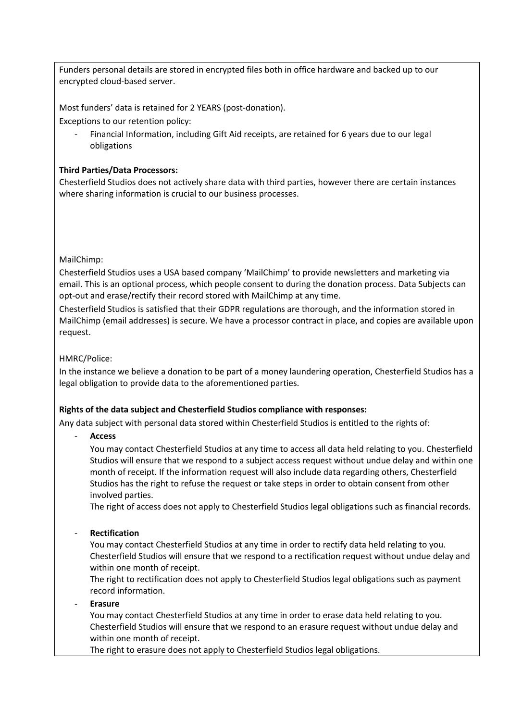Funders personal details are stored in encrypted files both in office hardware and backed up to our encrypted cloud-based server.

Most funders' data is retained for 2 YEARS (post-donation). Exceptions to our retention policy:

- Financial Information, including Gift Aid receipts, are retained for 6 years due to our legal obligations

#### **Third Parties/Data Processors:**

Chesterfield Studios does not actively share data with third parties, however there are certain instances where sharing information is crucial to our business processes.

#### MailChimp:

Chesterfield Studios uses a USA based company 'MailChimp' to provide newsletters and marketing via email. This is an optional process, which people consent to during the donation process. Data Subjects can opt-out and erase/rectify their record stored with MailChimp at any time.

Chesterfield Studios is satisfied that their GDPR regulations are thorough, and the information stored in MailChimp (email addresses) is secure. We have a processor contract in place, and copies are available upon request.

#### HMRC/Police:

In the instance we believe a donation to be part of a money laundering operation, Chesterfield Studios has a legal obligation to provide data to the aforementioned parties.

#### **Rights of the data subject and Chesterfield Studios compliance with responses:**

Any data subject with personal data stored within Chesterfield Studios is entitled to the rights of:

- **Access** 

You may contact Chesterfield Studios at any time to access all data held relating to you. Chesterfield Studios will ensure that we respond to a subject access request without undue delay and within one month of receipt. If the information request will also include data regarding others, Chesterfield Studios has the right to refuse the request or take steps in order to obtain consent from other involved parties.

The right of access does not apply to Chesterfield Studios legal obligations such as financial records.

#### - **Rectification**

You may contact Chesterfield Studios at any time in order to rectify data held relating to you. Chesterfield Studios will ensure that we respond to a rectification request without undue delay and within one month of receipt.

The right to rectification does not apply to Chesterfield Studios legal obligations such as payment record information.

#### - **Erasure**

You may contact Chesterfield Studios at any time in order to erase data held relating to you. Chesterfield Studios will ensure that we respond to an erasure request without undue delay and within one month of receipt.

The right to erasure does not apply to Chesterfield Studios legal obligations.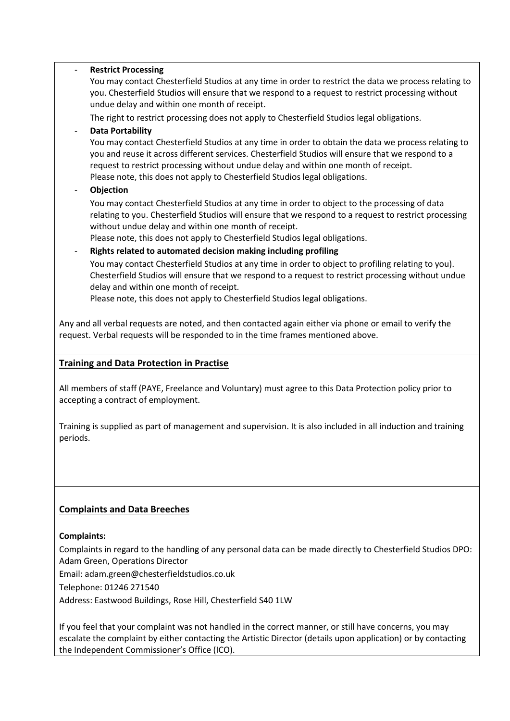## - **Restrict Processing** You may contact Chesterfield Studios at any time in order to restrict the data we process relating to you. Chesterfield Studios will ensure that we respond to a request to restrict processing without undue delay and within one month of receipt. The right to restrict processing does not apply to Chesterfield Studios legal obligations. - **Data Portability** You may contact Chesterfield Studios at any time in order to obtain the data we process relating to you and reuse it across different services. Chesterfield Studios will ensure that we respond to a request to restrict processing without undue delay and within one month of receipt. Please note, this does not apply to Chesterfield Studios legal obligations. - **Objection** You may contact Chesterfield Studios at any time in order to object to the processing of data relating to you. Chesterfield Studios will ensure that we respond to a request to restrict processing without undue delay and within one month of receipt. Please note, this does not apply to Chesterfield Studios legal obligations. - **Rights related to automated decision making including profiling** You may contact Chesterfield Studios at any time in order to object to profiling relating to you). Chesterfield Studios will ensure that we respond to a request to restrict processing without undue delay and within one month of receipt. Please note, this does not apply to Chesterfield Studios legal obligations.

Any and all verbal requests are noted, and then contacted again either via phone or email to verify the request. Verbal requests will be responded to in the time frames mentioned above.

## **Training and Data Protection in Practise**

All members of staff (PAYE, Freelance and Voluntary) must agree to this Data Protection policy prior to accepting a contract of employment.

Training is supplied as part of management and supervision. It is also included in all induction and training periods.

## **Complaints and Data Breeches**

## **Complaints:**

Complaints in regard to the handling of any personal data can be made directly to Chesterfield Studios DPO: Adam Green, Operations Director

Email: adam.green@chesterfieldstudios.co.uk

Telephone: 01246 271540

Address: Eastwood Buildings, Rose Hill, Chesterfield S40 1LW

If you feel that your complaint was not handled in the correct manner, or still have concerns, you may escalate the complaint by either contacting the Artistic Director (details upon application) or by contacting the Independent Commissioner's Office (ICO).